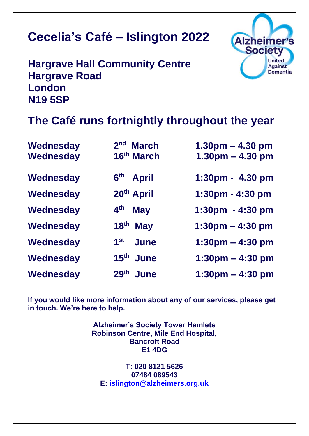# **Cecelia's Café – Islington 2022**

**Hargrave Hall Community Centre Hargrave Road London N19 5SP**

# **The Café runs fortnightly throughout the year**

Alzheimer's **Society** 

> **United Against Dementia**

| Wednesday<br>Wednesday | 2 <sub>nd</sub><br><b>March</b><br>16 <sup>th</sup> March | $1.30pm - 4.30pm$<br>$1.30pm - 4.30pm$ |
|------------------------|-----------------------------------------------------------|----------------------------------------|
|                        |                                                           |                                        |
| Wednesday              | 6 <sup>th</sup> April                                     | 1:30pm - 4.30 pm                       |
| Wednesday              | 20th April                                                | 1:30pm - 4:30 pm                       |
| Wednesday              | $4^{\text{th}}$<br><b>May</b>                             | 1:30pm - 4:30 pm                       |
| Wednesday              | 18 <sup>th</sup><br><b>May</b>                            | $1:30 \text{pm} - 4:30 \text{pm}$      |
| Wednesday              | $1^{\rm st}$<br><b>June</b>                               | $1:30 \text{pm} - 4:30 \text{pm}$      |
| Wednesday              | 15 <sup>th</sup> June                                     | $1:30 \text{pm} - 4:30 \text{pm}$      |
| Wednesday              | 29th June                                                 | $1:30 \text{pm} - 4:30 \text{pm}$      |

**If you would like more information about any of our services, please get in touch. We're here to help.**

> **Alzheimer's Society Tower Hamlets Robinson Centre, Mile End Hospital, Bancroft Road E1 4DG**

**T: 020 8121 5626 07484 089543 E: [islington@alzheimers.org.uk](mailto:islington@alzheimers.org.uk)**